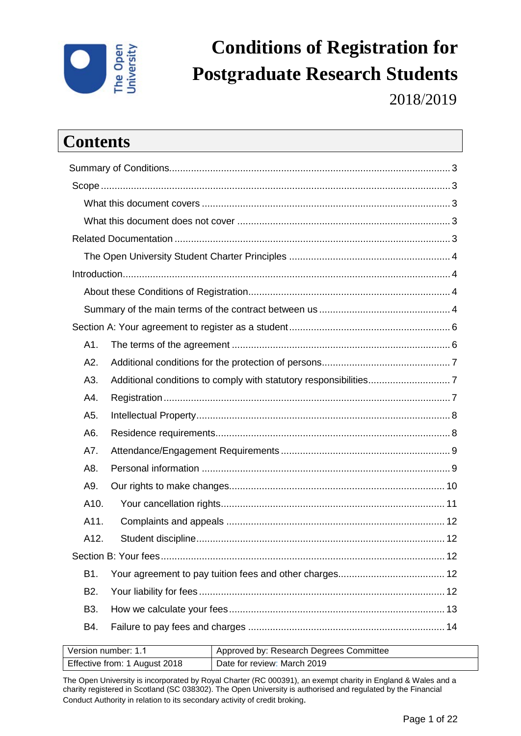

# **Conditions of Registration for Postgraduate Research Students**

2018/2019

# **Contents**

| A1.              |  |
|------------------|--|
| A2.              |  |
| A3.              |  |
| A4.              |  |
| A5.              |  |
| A6.              |  |
| A7.              |  |
| A8.              |  |
| A9.              |  |
| A10.             |  |
| A11.             |  |
| A12.             |  |
|                  |  |
| B1.              |  |
| B <sub>2</sub> . |  |
| B3.              |  |
| B4.              |  |
|                  |  |

| Version number: 1.1           | Approved by: Research Degrees Committee |
|-------------------------------|-----------------------------------------|
| Effective from: 1 August 2018 | Date for review: March 2019             |

The Open University is incorporated by Royal Charter (RC 000391), an exempt charity in England & Wales and a charity registered in Scotland (SC 038302). The Open University is authorised and regulated by the Financial Conduct Authority in relation to its secondary activity of credit broking.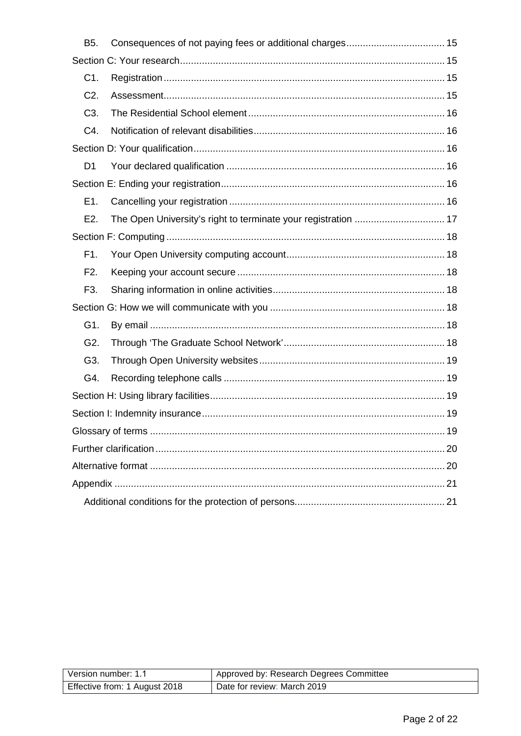| <b>B5.</b>       |                                                                |  |
|------------------|----------------------------------------------------------------|--|
|                  |                                                                |  |
| C1.              |                                                                |  |
| $C2$ .           |                                                                |  |
| C <sub>3</sub> . |                                                                |  |
| C4.              |                                                                |  |
|                  |                                                                |  |
| D1               |                                                                |  |
|                  |                                                                |  |
| E1.              |                                                                |  |
| E <sub>2</sub> . | The Open University's right to terminate your registration  17 |  |
|                  |                                                                |  |
| F1.              |                                                                |  |
| F2.              |                                                                |  |
| F3.              |                                                                |  |
|                  |                                                                |  |
| G1.              |                                                                |  |
| G <sub>2</sub> . |                                                                |  |
| G3.              |                                                                |  |
| G4.              |                                                                |  |
|                  |                                                                |  |
|                  |                                                                |  |
|                  |                                                                |  |
|                  |                                                                |  |
|                  |                                                                |  |
|                  |                                                                |  |
|                  |                                                                |  |

| Version number: 1.1           | Approved by: Research Degrees Committee |
|-------------------------------|-----------------------------------------|
| Effective from: 1 August 2018 | Date for review: March 2019             |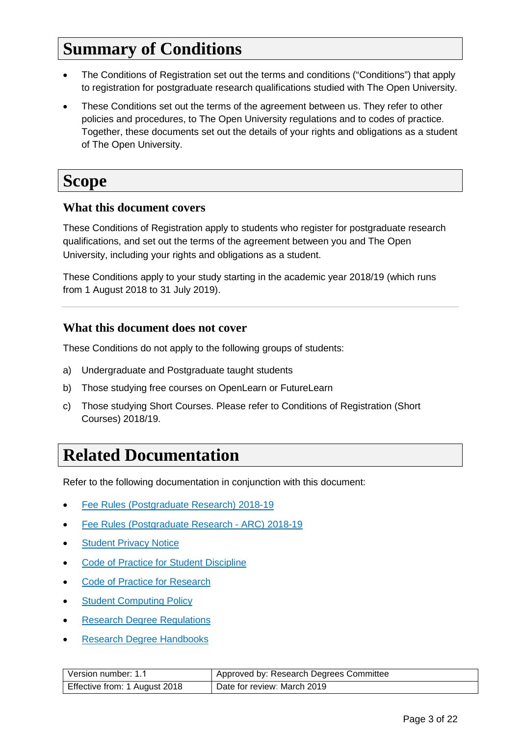# <span id="page-2-0"></span>**Summary of Conditions**

- The Conditions of Registration set out the terms and conditions ("Conditions") that apply to registration for postgraduate research qualifications studied with The Open University.
- These Conditions set out the terms of the agreement between us. They refer to other policies and procedures, to The Open University regulations and to codes of practice. Together, these documents set out the details of your rights and obligations as a student of The Open University.

# <span id="page-2-1"></span>**Scope**

#### <span id="page-2-2"></span>**What this document covers**

These Conditions of Registration apply to students who register for postgraduate research qualifications, and set out the terms of the agreement between you and The Open University, including your rights and obligations as a student.

These Conditions apply to your study starting in the academic year 2018/19 (which runs from 1 August 2018 to 31 July 2019).

#### <span id="page-2-3"></span>**What this document does not cover**

These Conditions do not apply to the following groups of students:

- a) Undergraduate and Postgraduate taught students
- b) Those studying free courses on OpenLearn or FutureLearn
- c) Those studying Short Courses. Please refer to Conditions of Registration (Short Courses) 2018/19.

# <span id="page-2-4"></span>**Related Documentation**

Refer to the following documentation in conjunction with this document:

- [Fee Rules \(Postgraduate Research\) 2018-19](https://help.open.ac.uk/documents/policies/fee-rules)
- [Fee Rules \(Postgraduate Research ARC\) 2018-19](https://help.open.ac.uk/documents/policies/fee-rules)
- [Student Privacy Notice](http://www.open.ac.uk/students/charter/essential-documents/student-privacy-notice)
- [Code of Practice for Student Discipline](http://www.open.ac.uk/students/charter/essential-documents/code-practice-student-discipline)
- [Code of Practice for Research](http://www.open.ac.uk/research/plans-policies)
- **[Student Computing Policy](http://www.open.ac.uk/students/charter/essential-documents/computing-policy-students)**
- [Research Degree Regulations](http://www.open.ac.uk/students/charter/essential-documents/research-degree-regulations)
- [Research Degree Handbooks](http://www.open.ac.uk/students/charter/essential-documents/research-degrees-handbook)

| Version number: 1.1           | Approved by: Research Degrees Committee |
|-------------------------------|-----------------------------------------|
| Effective from: 1 August 2018 | Date for review: March 2019             |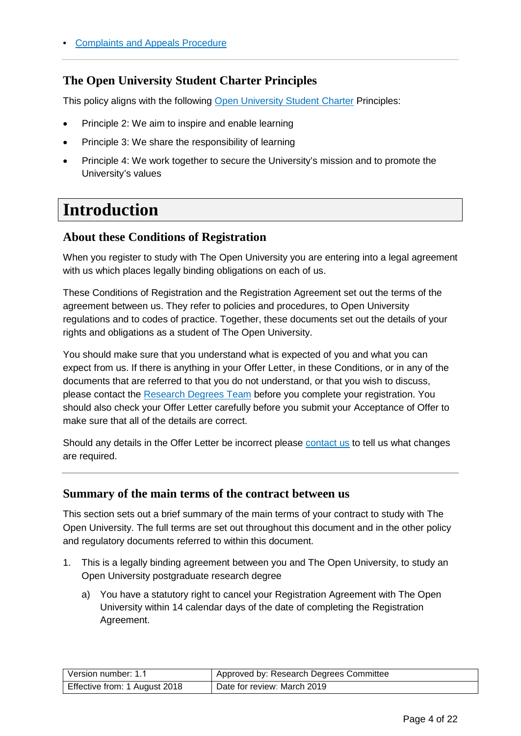### <span id="page-3-0"></span>**The Open University Student Charter Principles**

This policy aligns with the following [Open University Student Charter](http://www.open.ac.uk/students/charter/) Principles:

- Principle 2: We aim to inspire and enable learning
- Principle 3: We share the responsibility of learning
- Principle 4: We work together to secure the University's mission and to promote the University's values

# <span id="page-3-1"></span>**Introduction**

### <span id="page-3-2"></span>**About these Conditions of Registration**

When you register to study with The Open University you are entering into a legal agreement with us which places legally binding obligations on each of us.

These Conditions of Registration and the Registration Agreement set out the terms of the agreement between us. They refer to policies and procedures, to Open University regulations and to codes of practice. Together, these documents set out the details of your rights and obligations as a student of The Open University.

You should make sure that you understand what is expected of you and what you can expect from us. If there is anything in your Offer Letter, in these Conditions, or in any of the documents that are referred to that you do not understand, or that you wish to discuss, please contact the [Research Degrees Team](#page-19-2) before you complete your registration. You should also check your Offer Letter carefully before you submit your Acceptance of Offer to make sure that all of the details are correct.

Should any details in the Offer Letter be incorrect please [contact us](#page-19-2) to tell us what changes are required.

#### <span id="page-3-3"></span>**Summary of the main terms of the contract between us**

This section sets out a brief summary of the main terms of your contract to study with The Open University. The full terms are set out throughout this document and in the other policy and regulatory documents referred to within this document.

- 1. This is a legally binding agreement between you and The Open University, to study an Open University postgraduate research degree
	- a) You have a statutory right to cancel your Registration Agreement with The Open University within 14 calendar days of the date of completing the Registration Agreement.

| Version number: 1.1           | Approved by: Research Degrees Committee |
|-------------------------------|-----------------------------------------|
| Effective from: 1 August 2018 | Date for review: March 2019             |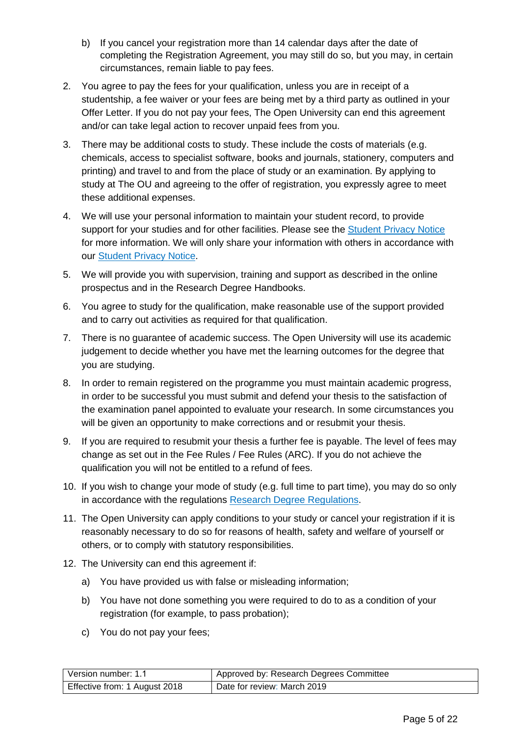- b) If you cancel your registration more than 14 calendar days after the date of completing the Registration Agreement, you may still do so, but you may, in certain circumstances, remain liable to pay fees.
- 2. You agree to pay the fees for your qualification, unless you are in receipt of a studentship, a fee waiver or your fees are being met by a third party as outlined in your Offer Letter. If you do not pay your fees, The Open University can end this agreement and/or can take legal action to recover unpaid fees from you.
- 3. There may be additional costs to study. These include the costs of materials (e.g. chemicals, access to specialist software, books and journals, stationery, computers and printing) and travel to and from the place of study or an examination. By applying to study at The OU and agreeing to the offer of registration, you expressly agree to meet these additional expenses.
- 4. We will use your personal information to maintain your student record, to provide support for your studies and for other facilities. Please see the [Student Privacy Notice](http://www.open.ac.uk/students/charter/essential-documents/student-privacy-notice) for more information. We will only share your information with others in accordance with our [Student Privacy Notice.](http://www.open.ac.uk/students/charter/essential-documents/student-privacy-notice)
- 5. We will provide you with supervision, training and support as described in the online prospectus and in the Research Degree Handbooks.
- 6. You agree to study for the qualification, make reasonable use of the support provided and to carry out activities as required for that qualification.
- 7. There is no guarantee of academic success. The Open University will use its academic judgement to decide whether you have met the learning outcomes for the degree that you are studying.
- 8. In order to remain registered on the programme you must maintain academic progress, in order to be successful you must submit and defend your thesis to the satisfaction of the examination panel appointed to evaluate your research. In some circumstances you will be given an opportunity to make corrections and or resubmit your thesis.
- 9. If you are required to resubmit your thesis a further fee is payable. The level of fees may change as set out in the Fee Rules / Fee Rules (ARC). If you do not achieve the qualification you will not be entitled to a refund of fees.
- 10. If you wish to change your mode of study (e.g. full time to part time), you may do so only in accordance with the regulations [Research Degree Regulations.](http://www.open.ac.uk/students/charter/essential-documents/research-degree-regulations)
- 11. The Open University can apply conditions to your study or cancel your registration if it is reasonably necessary to do so for reasons of health, safety and welfare of yourself or others, or to comply with statutory responsibilities.
- 12. The University can end this agreement if:
	- a) You have provided us with false or misleading information;
	- b) You have not done something you were required to do to as a condition of your registration (for example, to pass probation);
	- c) You do not pay your fees;

| Version number: 1.1           | Approved by: Research Degrees Committee |
|-------------------------------|-----------------------------------------|
| Effective from: 1 August 2018 | Date for review: March 2019             |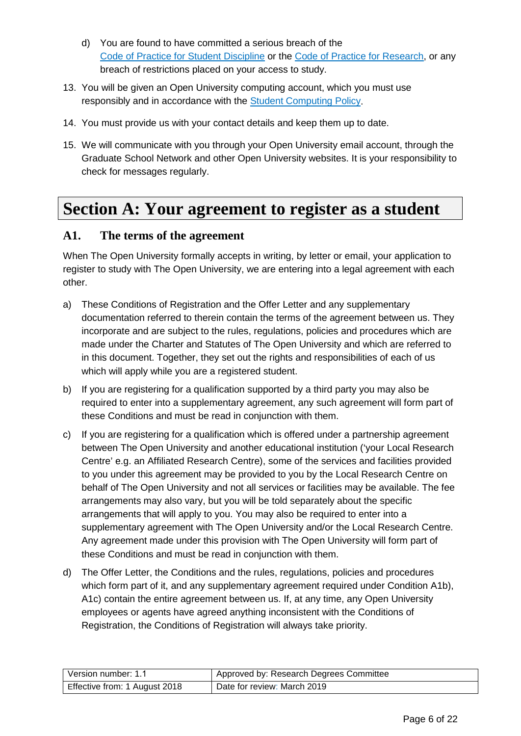- d) You are found to have committed a serious breach of the [Code of Practice for Student Discipline](http://www.open.ac.uk/students/charter/essential-documents/code-practice-student-discipline) or the [Code of Practice for Research,](http://www.open.ac.uk/research/plans-policies) or any breach of restrictions placed on your access to study.
- 13. You will be given an Open University computing account, which you must use responsibly and in accordance with the [Student Computing Policy.](http://www.open.ac.uk/students/charter/essential-documents/computing-code-conduct-students)
- 14. You must provide us with your contact details and keep them up to date.
- 15. We will communicate with you through your Open University email account, through the Graduate School Network and other Open University websites. It is your responsibility to check for messages regularly.

# <span id="page-5-0"></span>**Section A: Your agreement to register as a student**

### <span id="page-5-1"></span>**A1. The terms of the agreement**

When The Open University formally accepts in writing, by letter or email, your application to register to study with The Open University, we are entering into a legal agreement with each other.

- a) These Conditions of Registration and the Offer Letter and any supplementary documentation referred to therein contain the terms of the agreement between us. They incorporate and are subject to the rules, regulations, policies and procedures which are made under the Charter and Statutes of The Open University and which are referred to in this document. Together, they set out the rights and responsibilities of each of us which will apply while you are a registered student.
- b) If you are registering for a qualification supported by a third party you may also be required to enter into a supplementary agreement, any such agreement will form part of these Conditions and must be read in conjunction with them.
- c) If you are registering for a qualification which is offered under a partnership agreement between The Open University and another educational institution ('your Local Research Centre' e.g. an Affiliated Research Centre), some of the services and facilities provided to you under this agreement may be provided to you by the Local Research Centre on behalf of The Open University and not all services or facilities may be available. The fee arrangements may also vary, but you will be told separately about the specific arrangements that will apply to you. You may also be required to enter into a supplementary agreement with The Open University and/or the Local Research Centre. Any agreement made under this provision with The Open University will form part of these Conditions and must be read in conjunction with them.
- d) The Offer Letter, the Conditions and the rules, regulations, policies and procedures which form part of it, and any supplementary agreement required under Condition A1b), A1c) contain the entire agreement between us. If, at any time, any Open University employees or agents have agreed anything inconsistent with the Conditions of Registration, the Conditions of Registration will always take priority.

| Version number: 1.1           | Approved by: Research Degrees Committee |
|-------------------------------|-----------------------------------------|
| Effective from: 1 August 2018 | Date for review: March 2019             |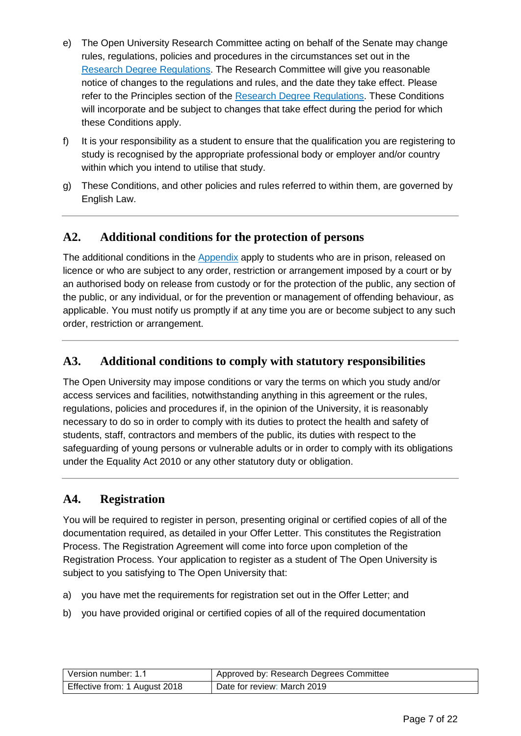- e) The Open University Research Committee acting on behalf of the Senate may change rules, regulations, policies and procedures in the circumstances set out in the [Research Degree Regulations.](http://www.open.ac.uk/students/charter/essential-documents/research-degree-regulations) The Research Committee will give you reasonable notice of changes to the regulations and rules, and the date they take effect. Please refer to the Principles section of the [Research Degree Regulations.](http://www.open.ac.uk/students/charter/essential-documents/research-degree-regulations) These Conditions will incorporate and be subject to changes that take effect during the period for which these Conditions apply.
- f) It is your responsibility as a student to ensure that the qualification you are registering to study is recognised by the appropriate professional body or employer and/or country within which you intend to utilise that study.
- g) These Conditions, and other policies and rules referred to within them, are governed by English Law.

# <span id="page-6-0"></span>**A2. Additional conditions for the protection of persons**

The additional conditions in the [Appendix](#page-20-0) apply to students who are in prison, released on licence or who are subject to any order, restriction or arrangement imposed by a court or by an authorised body on release from custody or for the protection of the public, any section of the public, or any individual, or for the prevention or management of offending behaviour, as applicable. You must notify us promptly if at any time you are or become subject to any such order, restriction or arrangement.

# <span id="page-6-1"></span>**A3. Additional conditions to comply with statutory responsibilities**

The Open University may impose conditions or vary the terms on which you study and/or access services and facilities, notwithstanding anything in this agreement or the rules, regulations, policies and procedures if, in the opinion of the University, it is reasonably necessary to do so in order to comply with its duties to protect the health and safety of students, staff, contractors and members of the public, its duties with respect to the safeguarding of young persons or vulnerable adults or in order to comply with its obligations under the Equality Act 2010 or any other statutory duty or obligation.

### <span id="page-6-2"></span>**A4. Registration**

You will be required to register in person, presenting original or certified copies of all of the documentation required, as detailed in your Offer Letter. This constitutes the Registration Process. The Registration Agreement will come into force upon completion of the Registration Process. Your application to register as a student of The Open University is subject to you satisfying to The Open University that:

- a) you have met the requirements for registration set out in the Offer Letter; and
- b) you have provided original or certified copies of all of the required documentation

| Version number: 1.1           | Approved by: Research Degrees Committee |
|-------------------------------|-----------------------------------------|
| Effective from: 1 August 2018 | Date for review: March 2019             |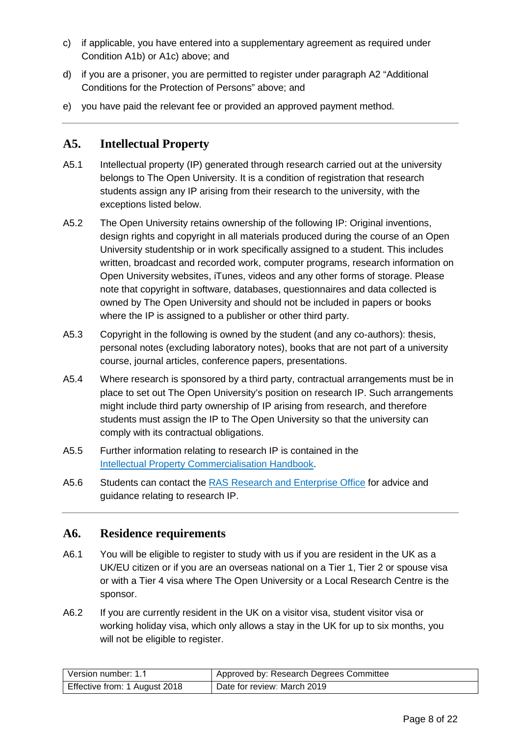- c) if applicable, you have entered into a supplementary agreement as required under Condition A1b) or A1c) above; and
- d) if you are a prisoner, you are permitted to register under paragraph A2 "Additional Conditions for the Protection of Persons" above; and
- e) you have paid the relevant fee or provided an approved payment method.

### <span id="page-7-0"></span>**A5. Intellectual Property**

- A5.1 Intellectual property (IP) generated through research carried out at the university belongs to The Open University. It is a condition of registration that research students assign any IP arising from their research to the university, with the exceptions listed below.
- A5.2 The Open University retains ownership of the following IP: Original inventions, design rights and copyright in all materials produced during the course of an Open University studentship or in work specifically assigned to a student. This includes written, broadcast and recorded work, computer programs, research information on Open University websites, iTunes, videos and any other forms of storage. Please note that copyright in software, databases, questionnaires and data collected is owned by The Open University and should not be included in papers or books where the IP is assigned to a publisher or other third party.
- A5.3 Copyright in the following is owned by the student (and any co-authors): thesis, personal notes (excluding laboratory notes), books that are not part of a university course, journal articles, conference papers, presentations.
- A5.4 Where research is sponsored by a third party, contractual arrangements must be in place to set out The Open University's position on research IP. Such arrangements might include third party ownership of IP arising from research, and therefore students must assign the IP to The Open University so that the university can comply with its contractual obligations.
- A5.5 Further information relating to research IP is contained in the [Intellectual Property Commercialisation Handbook.](http://www.open.ac.uk/students/research/forms-and-guidance)
- A5.6 Students can contact the [RAS Research and Enterprise Office](mailto:enterprise@open.ac.uk) for advice and guidance relating to research IP.

#### <span id="page-7-1"></span>**A6. Residence requirements**

- A6.1 You will be eligible to register to study with us if you are resident in the UK as a UK/EU citizen or if you are an overseas national on a Tier 1, Tier 2 or spouse visa or with a Tier 4 visa where The Open University or a Local Research Centre is the sponsor.
- A6.2 If you are currently resident in the UK on a visitor visa, student visitor visa or working holiday visa, which only allows a stay in the UK for up to six months, you will not be eligible to register.

| l Version number: 1.1         | Approved by: Research Degrees Committee |
|-------------------------------|-----------------------------------------|
| Effective from: 1 August 2018 | Date for review: March 2019             |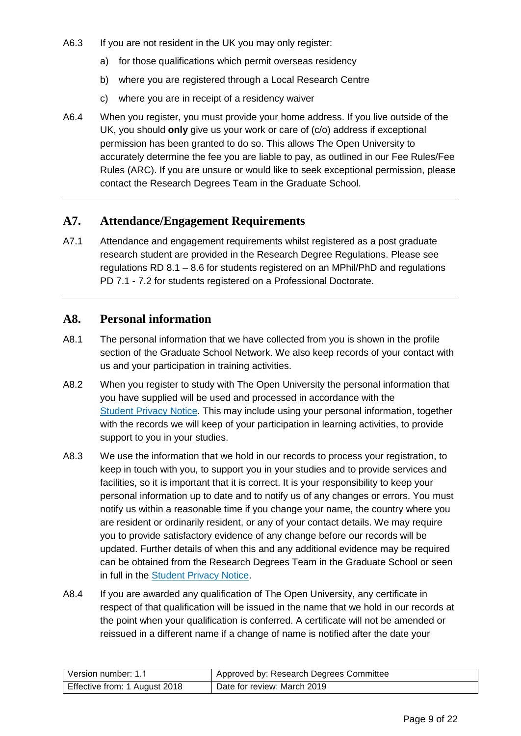- A6.3 If you are not resident in the UK you may only register:
	- a) for those qualifications which permit overseas residency
	- b) where you are registered through a Local Research Centre
	- c) where you are in receipt of a residency waiver
- A6.4 When you register, you must provide your home address. If you live outside of the UK, you should **only** give us your work or care of (c/o) address if exceptional permission has been granted to do so. This allows The Open University to accurately determine the fee you are liable to pay, as outlined in our Fee Rules/Fee Rules (ARC). If you are unsure or would like to seek exceptional permission, please contact the Research Degrees Team in the Graduate School.

#### <span id="page-8-0"></span>**A7. Attendance/Engagement Requirements**

A7.1 Attendance and engagement requirements whilst registered as a post graduate research student are provided in the Research Degree Regulations. Please see regulations RD 8.1 – 8.6 for students registered on an MPhil/PhD and regulations PD 7.1 - 7.2 for students registered on a Professional Doctorate.

#### <span id="page-8-1"></span>**A8. Personal information**

- A8.1 The personal information that we have collected from you is shown in the profile section of the Graduate School Network. We also keep records of your contact with us and your participation in training activities.
- A8.2 When you register to study with The Open University the personal information that you have supplied will be used and processed in accordance with the [Student Privacy Notice.](http://www.open.ac.uk/students/charter/essential-documents/student-privacy-notice) This may include using your personal information, together with the records we will keep of your participation in learning activities, to provide support to you in your studies.
- A8.3 We use the information that we hold in our records to process your registration, to keep in touch with you, to support you in your studies and to provide services and facilities, so it is important that it is correct. It is your responsibility to keep your personal information up to date and to notify us of any changes or errors. You must notify us within a reasonable time if you change your name, the country where you are resident or ordinarily resident, or any of your contact details. We may require you to provide satisfactory evidence of any change before our records will be updated. Further details of when this and any additional evidence may be required can be obtained from the Research Degrees Team in the Graduate School or seen in full in the [Student Privacy Notice.](http://www.open.ac.uk/students/charter/essential-documents/student-privacy-notice)
- A8.4 If you are awarded any qualification of The Open University, any certificate in respect of that qualification will be issued in the name that we hold in our records at the point when your qualification is conferred. A certificate will not be amended or reissued in a different name if a change of name is notified after the date your

| Version number: 1.1           | Approved by: Research Degrees Committee |
|-------------------------------|-----------------------------------------|
| Effective from: 1 August 2018 | Date for review: March 2019             |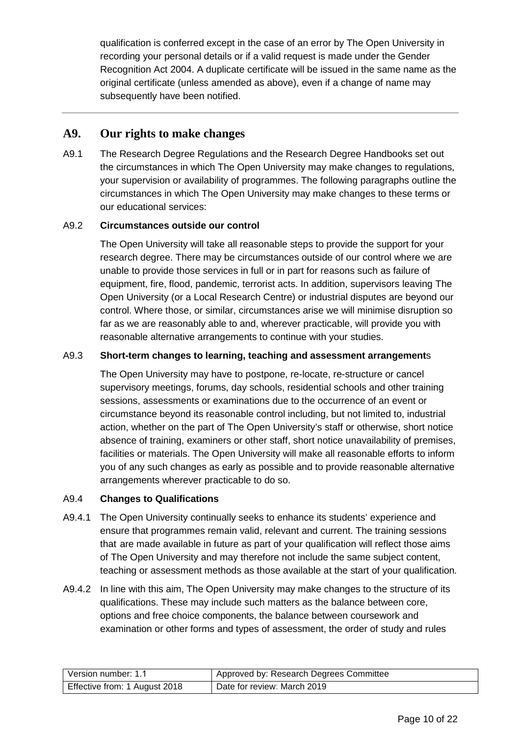qualification is conferred except in the case of an error by The Open University in recording your personal details or if a valid request is made under the Gender Recognition Act 2004. A duplicate certificate will be issued in the same name as the original certificate (unless amended as above), even if a change of name may subsequently have been notified.

#### <span id="page-9-0"></span>**A9. Our rights to make changes**

A9.1 The Research Degree Regulations and the Research Degree Handbooks set out the circumstances in which The Open University may make changes to regulations, your supervision or availability of programmes. The following paragraphs outline the circumstances in which The Open University may make changes to these terms or our educational services:

#### A9.2 **Circumstances outside our control**

The Open University will take all reasonable steps to provide the support for your research degree. There may be circumstances outside of our control where we are unable to provide those services in full or in part for reasons such as failure of equipment, fire, flood, pandemic, terrorist acts. In addition, supervisors leaving The Open University (or a Local Research Centre) or industrial disputes are beyond our control. Where those, or similar, circumstances arise we will minimise disruption so far as we are reasonably able to and, wherever practicable, will provide you with reasonable alternative arrangements to continue with your studies.

#### A9.3 **Short-term changes to learning, teaching and assessment arrangement**s

The Open University may have to postpone, re-locate, re-structure or cancel supervisory meetings, forums, day schools, residential schools and other training sessions, assessments or examinations due to the occurrence of an event or circumstance beyond its reasonable control including, but not limited to, industrial action, whether on the part of The Open University's staff or otherwise, short notice absence of training, examiners or other staff, short notice unavailability of premises, facilities or materials. The Open University will make all reasonable efforts to inform you of any such changes as early as possible and to provide reasonable alternative arrangements wherever practicable to do so.

#### A9.4 **Changes to Qualifications**

- A9.4.1 The Open University continually seeks to enhance its students' experience and ensure that programmes remain valid, relevant and current. The training sessions that are made available in future as part of your qualification will reflect those aims of The Open University and may therefore not include the same subject content, teaching or assessment methods as those available at the start of your qualification*.*
- A9.4.2 In line with this aim, The Open University may make changes to the structure of its qualifications. These may include such matters as the balance between core, options and free choice components, the balance between coursework and examination or other forms and types of assessment, the order of study and rules

| l Version number: 1.1         | Approved by: Research Degrees Committee |
|-------------------------------|-----------------------------------------|
| Effective from: 1 August 2018 | Date for review: March 2019             |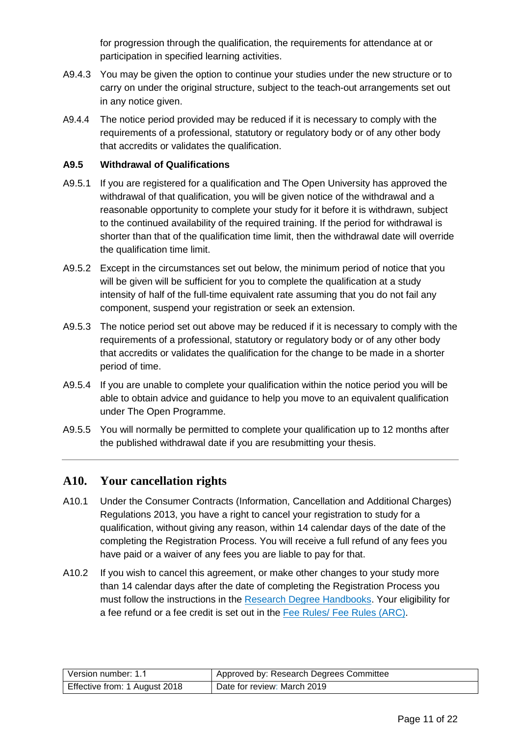for progression through the qualification, the requirements for attendance at or participation in specified learning activities.

- A9.4.3 You may be given the option to continue your studies under the new structure or to carry on under the original structure, subject to the teach-out arrangements set out in any notice given.
- A9.4.4 The notice period provided may be reduced if it is necessary to comply with the requirements of a professional, statutory or regulatory body or of any other body that accredits or validates the qualification.

#### **A9.5 Withdrawal of Qualifications**

- A9.5.1 If you are registered for a qualification and The Open University has approved the withdrawal of that qualification, you will be given notice of the withdrawal and a reasonable opportunity to complete your study for it before it is withdrawn, subject to the continued availability of the required training. If the period for withdrawal is shorter than that of the qualification time limit, then the withdrawal date will override the qualification time limit.
- A9.5.2 Except in the circumstances set out below, the minimum period of notice that you will be given will be sufficient for you to complete the qualification at a study intensity of half of the full-time equivalent rate assuming that you do not fail any component, suspend your registration or seek an extension.
- A9.5.3 The notice period set out above may be reduced if it is necessary to comply with the requirements of a professional, statutory or regulatory body or of any other body that accredits or validates the qualification for the change to be made in a shorter period of time.
- A9.5.4 If you are unable to complete your qualification within the notice period you will be able to obtain advice and guidance to help you move to an equivalent qualification under The Open Programme.
- A9.5.5 You will normally be permitted to complete your qualification up to 12 months after the published withdrawal date if you are resubmitting your thesis.

#### <span id="page-10-0"></span>**A10. Your cancellation rights**

- A10.1 Under the Consumer Contracts (Information, Cancellation and Additional Charges) Regulations 2013, you have a right to cancel your registration to study for a qualification, without giving any reason, within 14 calendar days of the date of the completing the Registration Process. You will receive a full refund of any fees you have paid or a waiver of any fees you are liable to pay for that.
- A10.2 If you wish to cancel this agreement, or make other changes to your study more than 14 calendar days after the date of completing the Registration Process you must follow the instructions in the [Research Degree Handbooks.](http://www.open.ac.uk/students/charter/essential-documents/research-degrees-handbook) Your eligibility for a fee refund or a fee credit is set out in the [Fee Rules/ Fee Rules \(ARC\).](http://www.open.ac.uk/students/research/forms-and-guidance)

| Version number: 1.1           | Approved by: Research Degrees Committee |
|-------------------------------|-----------------------------------------|
| Effective from: 1 August 2018 | Date for review: March 2019             |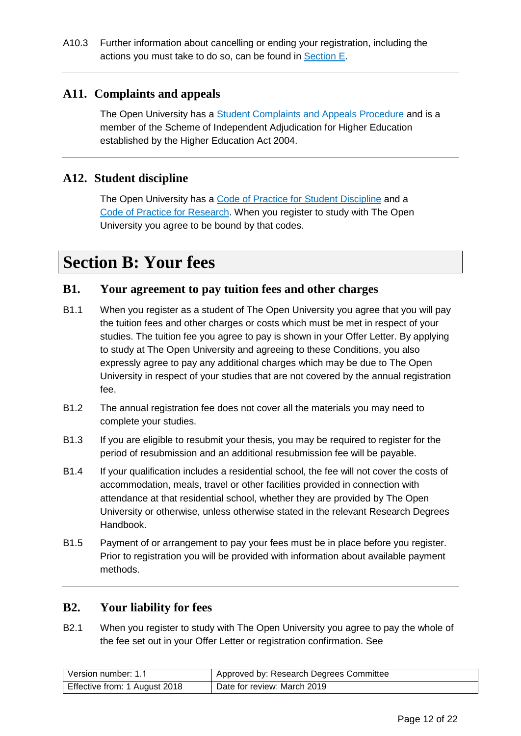### <span id="page-11-0"></span>**A11. Complaints and appeals**

The Open University has a [Student Complaints and Appeals Procedure a](http://www.open.ac.uk/students/charter/essential-documents/complaints-and-appeals-procedure)nd is a member of the Scheme of Independent Adjudication for Higher Education established by the Higher Education Act 2004.

### <span id="page-11-1"></span>**A12. Student discipline**

The Open University has a [Code of Practice for Student Discipline](http://www.open.ac.uk/students/charter/essential-documents/code-practice-student-discipline) and a [Code of Practice for Research.](http://www.open.ac.uk/research/plans-policies) When you register to study with The Open University you agree to be bound by that codes.

# <span id="page-11-2"></span>**Section B: Your fees**

# <span id="page-11-3"></span>**B1. Your agreement to pay tuition fees and other charges**

- B1.1 When you register as a student of The Open University you agree that you will pay the tuition fees and other charges or costs which must be met in respect of your studies. The tuition fee you agree to pay is shown in your Offer Letter. By applying to study at The Open University and agreeing to these Conditions, you also expressly agree to pay any additional charges which may be due to The Open University in respect of your studies that are not covered by the annual registration fee.
- B1.2 The annual registration fee does not cover all the materials you may need to complete your studies.
- B1.3 If you are eligible to resubmit your thesis, you may be required to register for the period of resubmission and an additional resubmission fee will be payable.
- B1.4 If your qualification includes a residential school, the fee will not cover the costs of accommodation, meals, travel or other facilities provided in connection with attendance at that residential school, whether they are provided by The Open University or otherwise, unless otherwise stated in the relevant Research Degrees Handbook.
- B1.5 Payment of or arrangement to pay your fees must be in place before you register. Prior to registration you will be provided with information about available payment methods.

#### <span id="page-11-4"></span>**B2. Your liability for fees**

B2.1 When you register to study with The Open University you agree to pay the whole of the fee set out in your Offer Letter or registration confirmation. See

| Version number: 1.1           | Approved by: Research Degrees Committee |
|-------------------------------|-----------------------------------------|
| Effective from: 1 August 2018 | Date for review: March 2019             |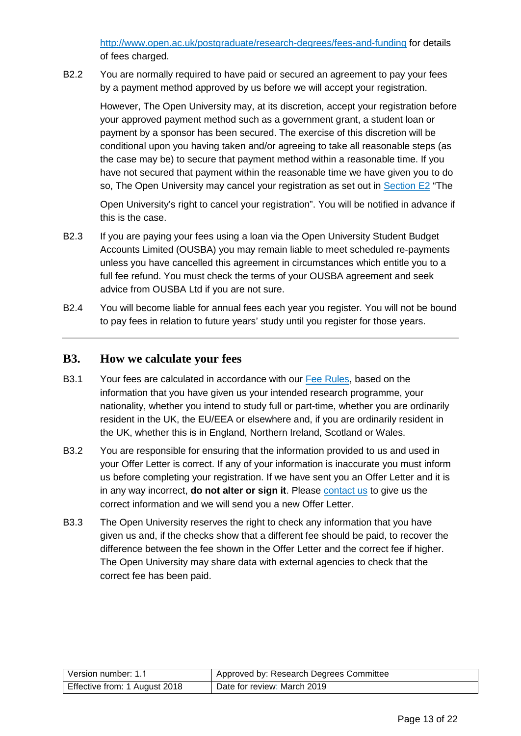<http://www.open.ac.uk/postgraduate/research-degrees/fees-and-funding> for details of fees charged.

<span id="page-12-1"></span>B2.2 You are normally required to have paid or secured an agreement to pay your fees by a payment method approved by us before we will accept your registration.

However, The Open University may, at its discretion, accept your registration before your approved payment method such as a government grant, a student loan or payment by a sponsor has been secured. The exercise of this discretion will be conditional upon you having taken and/or agreeing to take all reasonable steps (as the case may be) to secure that payment method within a reasonable time. If you have not secured that payment within the reasonable time we have given you to do so, The Open University may cancel your registration as set out in [Section E2](#page-16-0) "The

Open University's right to cancel your registration". You will be notified in advance if this is the case.

- B2.3 If you are paying your fees using a loan via the Open University Student Budget Accounts Limited (OUSBA) you may remain liable to meet scheduled re-payments unless you have cancelled this agreement in circumstances which entitle you to a full fee refund. You must check the terms of your OUSBA agreement and seek advice from OUSBA Ltd if you are not sure.
- B2.4 You will become liable for annual fees each year you register. You will not be bound to pay fees in relation to future years' study until you register for those years.

#### <span id="page-12-0"></span>**B3. How we calculate your fees**

- B3.1 Your fees are calculated in accordance with our [Fee Rules,](http://www.open.ac.uk/students/charter/essential-documents/fee-rules) based on the information that you have given us your intended research programme, your nationality, whether you intend to study full or part-time, whether you are ordinarily resident in the UK, the EU/EEA or elsewhere and, if you are ordinarily resident in the UK, whether this is in England, Northern Ireland, Scotland or Wales.
- B3.2 You are responsible for ensuring that the information provided to us and used in your Offer Letter is correct. If any of your information is inaccurate you must inform us before completing your registration. If we have sent you an Offer Letter and it is in any way incorrect, **do not alter or sign it**. Please [contact us](#page-19-2) to give us the correct information and we will send you a new Offer Letter.
- B3.3 The Open University reserves the right to check any information that you have given us and, if the checks show that a different fee should be paid, to recover the difference between the fee shown in the Offer Letter and the correct fee if higher. The Open University may share data with external agencies to check that the correct fee has been paid.

| Version number: 1.1           | Approved by: Research Degrees Committee |
|-------------------------------|-----------------------------------------|
| Effective from: 1 August 2018 | Date for review: March 2019             |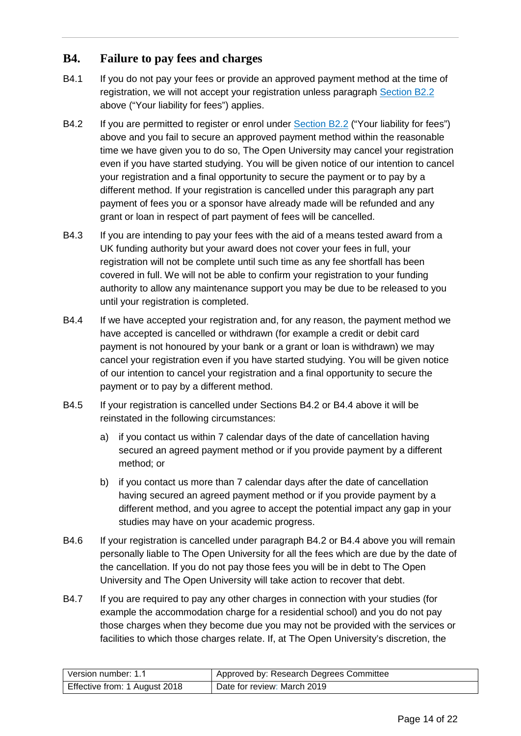### <span id="page-13-0"></span>**B4. Failure to pay fees and charges**

- B4.1 If you do not pay your fees or provide an approved payment method at the time of registration, we will not accept your registration unless paragraph [Section B2.2](#page-12-1) above ("Your liability for fees") applies.
- B4.2 If you are permitted to register or enrol under [Section B2.2](#page-12-1) ("Your liability for fees") above and you fail to secure an approved payment method within the reasonable time we have given you to do so, The Open University may cancel your registration even if you have started studying. You will be given notice of our intention to cancel your registration and a final opportunity to secure the payment or to pay by a different method. If your registration is cancelled under this paragraph any part payment of fees you or a sponsor have already made will be refunded and any grant or loan in respect of part payment of fees will be cancelled.
- B4.3 If you are intending to pay your fees with the aid of a means tested award from a UK funding authority but your award does not cover your fees in full, your registration will not be complete until such time as any fee shortfall has been covered in full. We will not be able to confirm your registration to your funding authority to allow any maintenance support you may be due to be released to you until your registration is completed.
- B4.4 If we have accepted your registration and, for any reason, the payment method we have accepted is cancelled or withdrawn (for example a credit or debit card payment is not honoured by your bank or a grant or loan is withdrawn) we may cancel your registration even if you have started studying. You will be given notice of our intention to cancel your registration and a final opportunity to secure the payment or to pay by a different method.
- B4.5 If your registration is cancelled under Sections B4.2 or B4.4 above it will be reinstated in the following circumstances:
	- a) if you contact us within 7 calendar days of the date of cancellation having secured an agreed payment method or if you provide payment by a different method; or
	- b) if you contact us more than 7 calendar days after the date of cancellation having secured an agreed payment method or if you provide payment by a different method, and you agree to accept the potential impact any gap in your studies may have on your academic progress.
- B4.6 If your registration is cancelled under paragraph B4.2 or B4.4 above you will remain personally liable to The Open University for all the fees which are due by the date of the cancellation. If you do not pay those fees you will be in debt to The Open University and The Open University will take action to recover that debt.
- B4.7 If you are required to pay any other charges in connection with your studies (for example the accommodation charge for a residential school) and you do not pay those charges when they become due you may not be provided with the services or facilities to which those charges relate. If, at The Open University's discretion, the

| l Version number: 1.1         | Approved by: Research Degrees Committee |
|-------------------------------|-----------------------------------------|
| Effective from: 1 August 2018 | Date for review: March 2019             |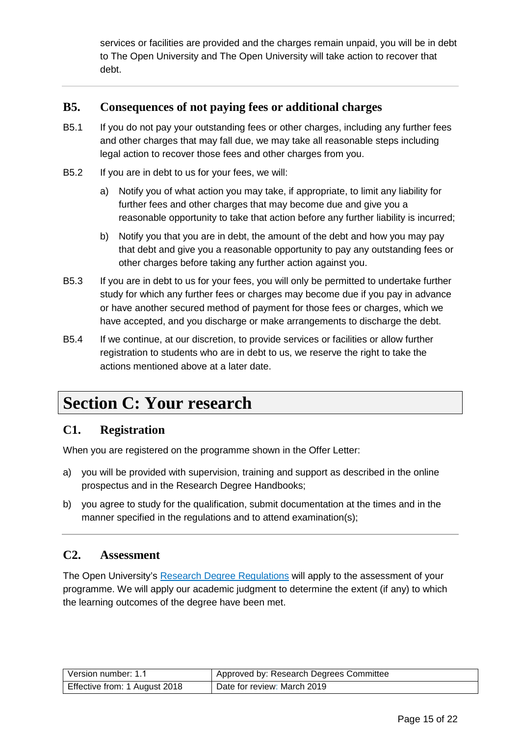services or facilities are provided and the charges remain unpaid, you will be in debt to The Open University and The Open University will take action to recover that debt.

### <span id="page-14-0"></span>**B5. Consequences of not paying fees or additional charges**

- B5.1 If you do not pay your outstanding fees or other charges, including any further fees and other charges that may fall due, we may take all reasonable steps including legal action to recover those fees and other charges from you.
- B5.2 If you are in debt to us for your fees, we will:
	- a) Notify you of what action you may take, if appropriate, to limit any liability for further fees and other charges that may become due and give you a reasonable opportunity to take that action before any further liability is incurred;
	- b) Notify you that you are in debt, the amount of the debt and how you may pay that debt and give you a reasonable opportunity to pay any outstanding fees or other charges before taking any further action against you.
- B5.3 If you are in debt to us for your fees, you will only be permitted to undertake further study for which any further fees or charges may become due if you pay in advance or have another secured method of payment for those fees or charges, which we have accepted, and you discharge or make arrangements to discharge the debt.
- B5.4 If we continue, at our discretion, to provide services or facilities or allow further registration to students who are in debt to us, we reserve the right to take the actions mentioned above at a later date.

# <span id="page-14-1"></span>**Section C: Your research**

#### <span id="page-14-2"></span>**C1. Registration**

When you are registered on the programme shown in the Offer Letter:

- a) you will be provided with supervision, training and support as described in the online prospectus and in the Research Degree Handbooks;
- b) you agree to study for the qualification, submit documentation at the times and in the manner specified in the regulations and to attend examination(s);

#### <span id="page-14-3"></span>**C2. Assessment**

The Open University's [Research Degree](http://www.open.ac.uk/students/charter/essential-documents/research-degree-regulations) Regulations will apply to the assessment of your programme. We will apply our academic judgment to determine the extent (if any) to which the learning outcomes of the degree have been met.

| Version number: 1.1           | Approved by: Research Degrees Committee |
|-------------------------------|-----------------------------------------|
| Effective from: 1 August 2018 | Date for review: March 2019             |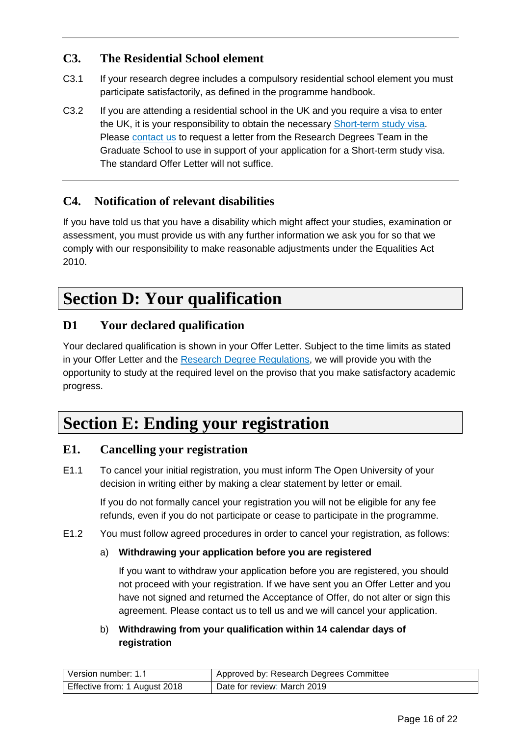# <span id="page-15-0"></span>**C3. The Residential School element**

- C3.1 If your research degree includes a compulsory residential school element you must participate satisfactorily, as defined in the programme handbook.
- C3.2 If you are attending a residential school in the UK and you require a visa to enter the UK, it is your responsibility to obtain the necessary [Short-term study visa.](https://www.gov.uk/study-visit-visa) Please [contact us](#page-19-2) to request a letter from the Research Degrees Team in the Graduate School to use in support of your application for a Short-term study visa. The standard Offer Letter will not suffice.

# <span id="page-15-1"></span>**C4. Notification of relevant disabilities**

If you have told us that you have a disability which might affect your studies, examination or assessment, you must provide us with any further information we ask you for so that we comply with our responsibility to make reasonable adjustments under the Equalities Act 2010.

# <span id="page-15-2"></span>**Section D: Your qualification**

### <span id="page-15-3"></span>**D1 Your declared qualification**

Your declared qualification is shown in your Offer Letter. Subject to the time limits as stated in your Offer Letter and the [Research Degree Regulations,](http://www.open.ac.uk/students/charter/essential-documents/research-degree-regulations) we will provide you with the opportunity to study at the required level on the proviso that you make satisfactory academic progress.

# <span id="page-15-4"></span>**Section E: Ending your registration**

#### <span id="page-15-5"></span>**E1. Cancelling your registration**

E1.1 To cancel your initial registration, you must inform The Open University of your decision in writing either by making a clear statement by letter or email.

> If you do not formally cancel your registration you will not be eligible for any fee refunds, even if you do not participate or cease to participate in the programme.

E1.2 You must follow agreed procedures in order to cancel your registration, as follows:

#### a) **Withdrawing your application before you are registered**

If you want to withdraw your application before you are registered, you should not proceed with your registration. If we have sent you an Offer Letter and you have not signed and returned the Acceptance of Offer, do not alter or sign this agreement. Please contact us to tell us and we will cancel your application.

b) **Withdrawing from your qualification within 14 calendar days of registration**

| Version number: 1.1           | Approved by: Research Degrees Committee |
|-------------------------------|-----------------------------------------|
| Effective from: 1 August 2018 | Date for review: March 2019             |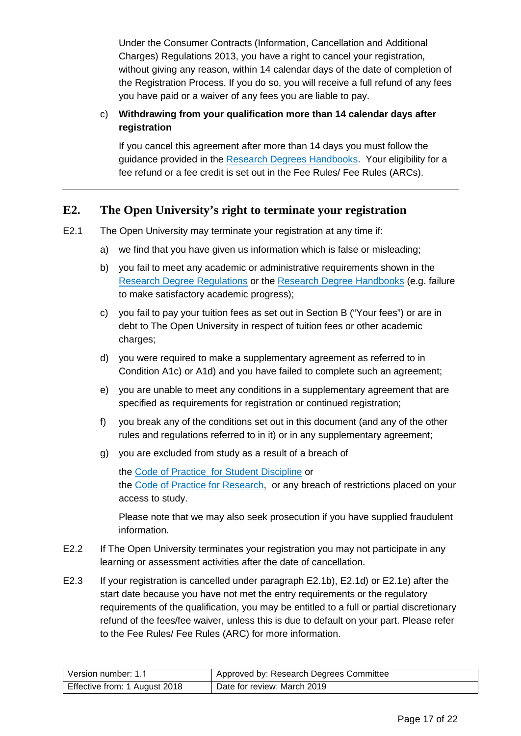Under the Consumer Contracts (Information, Cancellation and Additional Charges) Regulations 2013, you have a right to cancel your registration, without giving any reason, within 14 calendar days of the date of completion of the Registration Process. If you do so, you will receive a full refund of any fees you have paid or a waiver of any fees you are liable to pay.

#### c) **Withdrawing from your qualification more than 14 calendar days after registration**

If you cancel this agreement after more than 14 days you must follow the guidance provided in the [Research Degrees Handbooks.](http://www.open.ac.uk/students/charter/essential-documents/research-degrees-handbook) Your eligibility for a fee refund or a fee credit is set out in the Fee Rules/ Fee Rules (ARCs).

### <span id="page-16-0"></span>**E2. The Open University's right to terminate your registration**

- E2.1 The Open University may terminate your registration at any time if:
	- a) we find that you have given us information which is false or misleading;
	- b) you fail to meet any academic or administrative requirements shown in the [Research Degree Regulations](http://www.open.ac.uk/students/charter/essential-documents/research-degree-regulations) or the [Research Degree Handbooks](http://www.open.ac.uk/students/charter/essential-documents/research-degrees-handbook) (e.g. failure to make satisfactory academic progress);
	- c) you fail to pay your tuition fees as set out in Section B ("Your fees") or are in debt to The Open University in respect of tuition fees or other academic charges;
	- d) you were required to make a supplementary agreement as referred to in Condition A1c) or A1d) and you have failed to complete such an agreement;
	- e) you are unable to meet any conditions in a supplementary agreement that are specified as requirements for registration or continued registration;
	- f) you break any of the conditions set out in this document (and any of the other rules and regulations referred to in it) or in any supplementary agreement;
	- g) you are excluded from study as a result of a breach of

the [Code of Practice for Student Discipline](http://www.open.ac.uk/students/charter/essential-documents/code-practice-student-discipline) or the [Code of Practice for Research,](http://www.open.ac.uk/research/plans-policies) or any breach of restrictions placed on your access to study.

Please note that we may also seek prosecution if you have supplied fraudulent information.

- E2.2 If The Open University terminates your registration you may not participate in any learning or assessment activities after the date of cancellation.
- E2.3 If your registration is cancelled under paragraph E2.1b), E2.1d) or E2.1e) after the start date because you have not met the entry requirements or the regulatory requirements of the qualification, you may be entitled to a full or partial discretionary refund of the fees/fee waiver, unless this is due to default on your part. Please refer to the Fee Rules/ Fee Rules (ARC) for more information.

| Version number: 1.1           | Approved by: Research Degrees Committee |
|-------------------------------|-----------------------------------------|
| Effective from: 1 August 2018 | Date for review: March 2019             |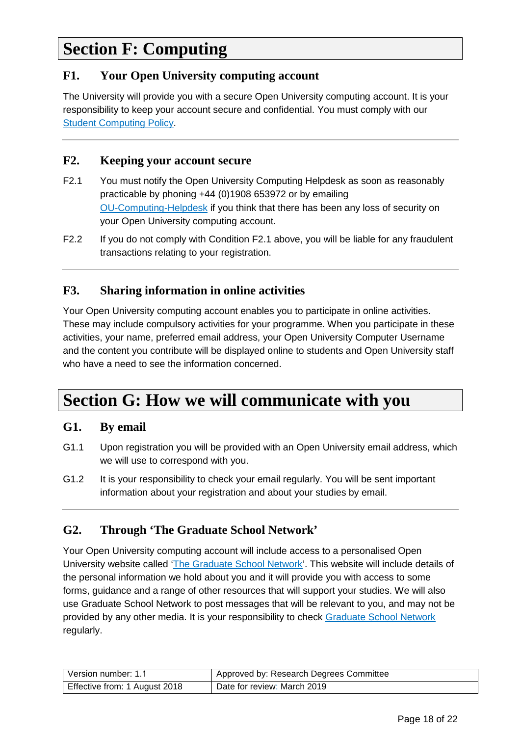# <span id="page-17-0"></span>**Section F: Computing**

### <span id="page-17-1"></span>**F1. Your Open University computing account**

The University will provide you with a secure Open University computing account. It is your responsibility to keep your account secure and confidential. You must comply with our [Student Computing Policy.](http://www.open.ac.uk/students/charter/essential-documents/computing-policy-students)

#### <span id="page-17-2"></span>**F2. Keeping your account secure**

- F2.1 You must notify the Open University Computing Helpdesk as soon as reasonably practicable by phoning +44 (0)1908 653972 or by emailing [OU-Computing-Helpdesk](mailto:ou-computing-helpdesk@open.ac.uk) if you think that there has been any loss of security on your Open University computing account.
- F2.2 If you do not comply with Condition F2.1 above, you will be liable for any fraudulent transactions relating to your registration.

# <span id="page-17-3"></span>**F3. Sharing information in online activities**

Your Open University computing account enables you to participate in online activities. These may include compulsory activities for your programme. When you participate in these activities, your name, preferred email address, your Open University Computer Username and the content you contribute will be displayed online to students and Open University staff who have a need to see the information concerned.

# <span id="page-17-4"></span>**Section G: How we will communicate with you**

#### <span id="page-17-5"></span>**G1. By email**

- G1.1 Upon registration you will be provided with an Open University email address, which we will use to correspond with you.
- G1.2 It is your responsibility to check your email regularly. You will be sent important information about your registration and about your studies by email.

### <span id="page-17-6"></span>**G2. Through 'The Graduate School Network'**

Your Open University computing account will include access to a personalised Open University website called ['The Graduate School Network'](http://www.open.ac.uk/students/research/). This website will include details of the personal information we hold about you and it will provide you with access to some forms, guidance and a range of other resources that will support your studies. We will also use Graduate School Network to post messages that will be relevant to you, and may not be provided by any other media. It is your responsibility to check [Graduate School Network](http://www.open.ac.uk/students/research/) regularly.

| Version number: 1.1           | Approved by: Research Degrees Committee |
|-------------------------------|-----------------------------------------|
| Effective from: 1 August 2018 | Date for review: March 2019             |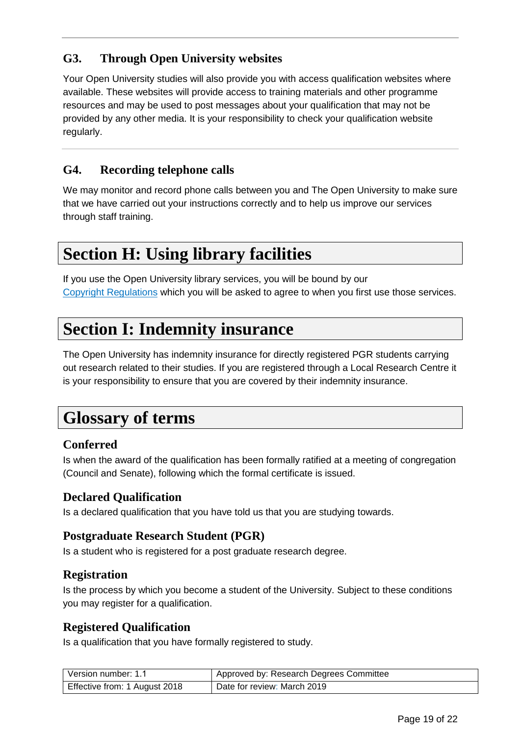# <span id="page-18-0"></span>**G3. Through Open University websites**

Your Open University studies will also provide you with access qualification websites where available. These websites will provide access to training materials and other programme resources and may be used to post messages about your qualification that may not be provided by any other media. It is your responsibility to check your qualification website regularly.

# <span id="page-18-1"></span>**G4. Recording telephone calls**

We may monitor and record phone calls between you and The Open University to make sure that we have carried out your instructions correctly and to help us improve our services through staff training.

# <span id="page-18-2"></span>**Section H: Using library facilities**

If you use the Open University library services, you will be bound by our [Copyright Regulations](http://www.open.ac.uk/library/library-information/copying-and-downloading) which you will be asked to agree to when you first use those services.

# <span id="page-18-3"></span>**Section I: Indemnity insurance**

The Open University has indemnity insurance for directly registered PGR students carrying out research related to their studies. If you are registered through a Local Research Centre it is your responsibility to ensure that you are covered by their indemnity insurance.

# <span id="page-18-4"></span>**Glossary of terms**

### **Conferred**

Is when the award of the qualification has been formally ratified at a meeting of congregation (Council and Senate), following which the formal certificate is issued.

### **Declared Qualification**

Is a declared qualification that you have told us that you are studying towards.

#### **Postgraduate Research Student (PGR)**

Is a student who is registered for a post graduate research degree.

#### **Registration**

Is the process by which you become a student of the University. Subject to these conditions you may register for a qualification.

#### **Registered Qualification**

Is a qualification that you have formally registered to study.

| Version number: 1.1           | Approved by: Research Degrees Committee |
|-------------------------------|-----------------------------------------|
| Effective from: 1 August 2018 | Date for review: March 2019             |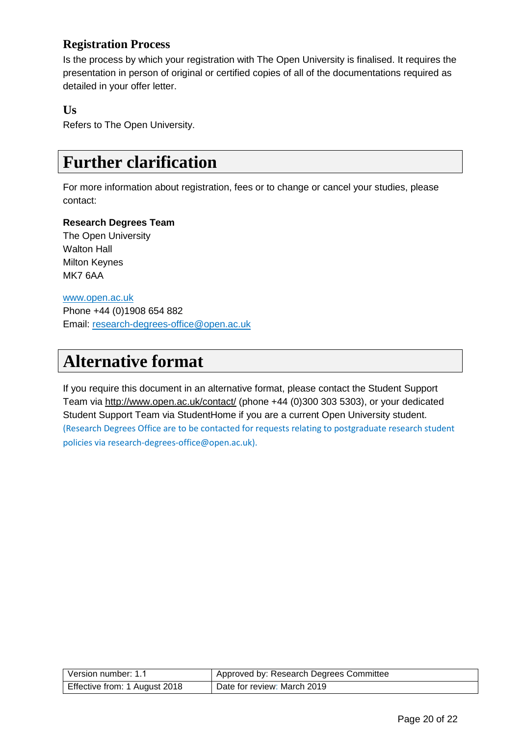# **Registration Process**

Is the process by which your registration with The Open University is finalised. It requires the presentation in person of original or certified copies of all of the documentations required as detailed in your offer letter.

### **Us**

Refers to The Open University.

# <span id="page-19-0"></span>**Further clarification**

For more information about registration, fees or to change or cancel your studies, please contact:

#### <span id="page-19-2"></span>**Research Degrees Team**

The Open University Walton Hall Milton Keynes MK7 6AA

[www.open.ac.uk](http://www.open.ac.uk/) Phone +44 (0)1908 654 882 Email: [research-degrees-office@open.ac.uk](mailto:research-degrees-office@open.ac.uk)

# <span id="page-19-1"></span>**Alternative format**

If you require this document in an alternative format, please contact the Student Support Team via<http://www.open.ac.uk/contact/> (phone +44 (0)300 303 5303), or your dedicated Student Support Team via StudentHome if you are a current Open University student. (Research Degrees Office are to be contacted for requests relating to postgraduate research student policies via research-degrees-office@open.ac.uk).

| Version number: 1.1           | Approved by: Research Degrees Committee |
|-------------------------------|-----------------------------------------|
| Effective from: 1 August 2018 | Date for review: March 2019             |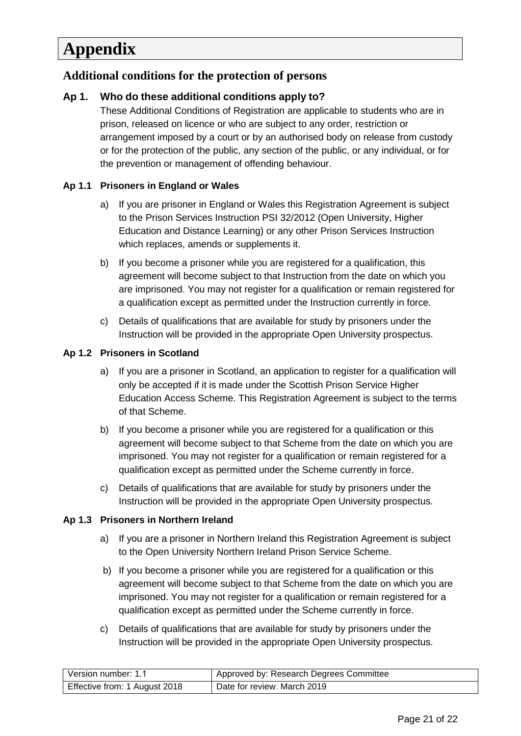# <span id="page-20-0"></span>**Appendix**

### <span id="page-20-1"></span>**Additional conditions for the protection of persons**

#### **Ap 1. Who do these additional conditions apply to?**

These Additional Conditions of Registration are applicable to students who are in prison, released on licence or who are subject to any order, restriction or arrangement imposed by a court or by an authorised body on release from custody or for the protection of the public, any section of the public, or any individual, or for the prevention or management of offending behaviour.

#### **Ap 1.1 Prisoners in England or Wales**

- a) If you are prisoner in England or Wales this Registration Agreement is subject to the Prison Services Instruction PSI 32/2012 (Open University, Higher Education and Distance Learning) or any other Prison Services Instruction which replaces, amends or supplements it.
- b) If you become a prisoner while you are registered for a qualification, this agreement will become subject to that Instruction from the date on which you are imprisoned. You may not register for a qualification or remain registered for a qualification except as permitted under the Instruction currently in force.
- c) Details of qualifications that are available for study by prisoners under the Instruction will be provided in the appropriate Open University prospectus.

#### **Ap 1.2 Prisoners in Scotland**

- a) If you are a prisoner in Scotland, an application to register for a qualification will only be accepted if it is made under the Scottish Prison Service Higher Education Access Scheme. This Registration Agreement is subject to the terms of that Scheme.
- b) If you become a prisoner while you are registered for a qualification or this agreement will become subject to that Scheme from the date on which you are imprisoned. You may not register for a qualification or remain registered for a qualification except as permitted under the Scheme currently in force.
- c) Details of qualifications that are available for study by prisoners under the Instruction will be provided in the appropriate Open University prospectus.

#### **Ap 1.3 Prisoners in Northern Ireland**

- a) If you are a prisoner in Northern Ireland this Registration Agreement is subject to the Open University Northern Ireland Prison Service Scheme.
- b) If you become a prisoner while you are registered for a qualification or this agreement will become subject to that Scheme from the date on which you are imprisoned. You may not register for a qualification or remain registered for a qualification except as permitted under the Scheme currently in force.
- c) Details of qualifications that are available for study by prisoners under the Instruction will be provided in the appropriate Open University prospectus.

| Version number: 1.1           | Approved by: Research Degrees Committee |
|-------------------------------|-----------------------------------------|
| Effective from: 1 August 2018 | Date for review: March 2019             |